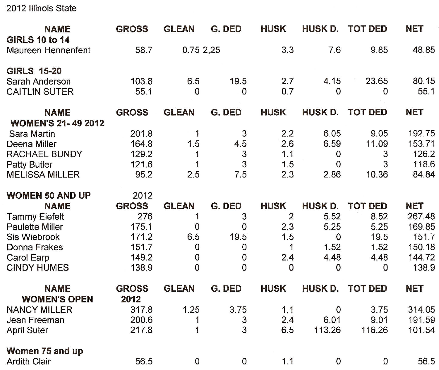2012 Illinois State

| <b>NAME</b>                                 | <b>GROSS</b> | <b>GLEAN</b> | G. DED         | <b>HUSK</b>    | <b>HUSK D.</b> | <b>TOT DED</b> | <b>NET</b> |
|---------------------------------------------|--------------|--------------|----------------|----------------|----------------|----------------|------------|
| <b>GIRLS 10 to 14</b><br>Maureen Hennenfent | 58.7         | 0.752,.25    |                | 3.3            | 7.6            | 9.85           | 48.85      |
| <b>GIRLS 15-20</b>                          |              |              |                |                |                |                |            |
| Sarah Anderson                              | 103.8        | 6.5          | 19.5           | 2.7            | 4.15           | 23.65          | 80.15      |
| <b>CAITLIN SUTER</b>                        | 55.1         | 0            | 0              | 0.7            | 0              | 0              | 55.1       |
| <b>NAME</b>                                 | <b>GROSS</b> | <b>GLEAN</b> | G. DED         | <b>HUSK</b>    | <b>HUSK D.</b> | <b>TOT DED</b> | <b>NET</b> |
| <b>WOMEN'S 21-49 2012</b>                   |              |              |                |                |                |                |            |
| Sara Martin                                 | 201.8        | 1            | 3              | 2.2            | 6.05           | 9.05           | 192.75     |
| Deena Miller                                | 164.8        | 1.5          | 4.5            | 2.6            | 6.59           | 11.09          | 153.71     |
| <b>RACHAEL BUNDY</b>                        | 129.2        | 1            | 3              | 1.1            | 0              | 3              | 126.2      |
| Patty Butler                                | 121.6        | 1            | 3              | 1.5            | $\mathbf 0$    | 3              | 118.6      |
| <b>MELISSA MILLER</b>                       | 95.2         | 2.5          | 7.5            | 2.3            | 2.86           | 10.36          | 84.84      |
| <b>WOMEN 50 AND UP</b>                      | 2012         |              |                |                |                |                |            |
| <b>NAME</b>                                 | <b>GROSS</b> | <b>GLEAN</b> | G. DED         | <b>HUSK</b>    | <b>HUSK D.</b> | <b>TOT DED</b> | <b>NET</b> |
| <b>Tammy Eiefelt</b>                        | 276          | 1            | 3              | $\overline{2}$ | 5.52           | 8.52           | 267.48     |
| <b>Paulette Miller</b>                      | 175.1        | 0            | $\overline{0}$ | 2.3            | 5.25           | 5.25           | 169.85     |
| Sis Wiebrook                                | 171.2        | 6.5          | 19.5           | 1.5            | $\Omega$       | 19.5           | 151.7      |
| Donna Frakes                                | 151.7        | $\Omega$     | 0              | 1              | 1.52           | 1.52           | 150.18     |
| Carol Earp                                  | 149.2        | 0            | 0              | 2.4            | 4.48           | 4.48           | 144.72     |
| <b>CINDY HUMES</b>                          | 138.9        | 0            | 0              | 0              | 0              | 0              | 138.9      |
| <b>NAME</b>                                 | <b>GROSS</b> | <b>GLEAN</b> | G. DED         | <b>HUSK</b>    | <b>HUSK D.</b> | <b>TOT DED</b> | <b>NET</b> |
| <b>WOMEN'S OPEN</b>                         | 2012         |              |                |                |                |                |            |
| <b>NANCY MILLER</b>                         | 317.8        | 1.25         | 3.75           | 1.1            | $\Omega$       | 3.75           | 314.05     |
| Jean Freeman                                | 200.6        | 1            | 3              | 2.4            | 6.01           | 9.01           | 191.59     |
| <b>April Suter</b>                          | 217.8        | 1            | 3              | 6.5            | 113.26         | 116.26         | 101.54     |
| Women 75 and up                             |              |              |                |                |                |                |            |
| <b>Ardith Clair</b>                         | 56.5         | 0            | $\mathbf 0$    | 1.1            | 0              | 0              | 56.5       |